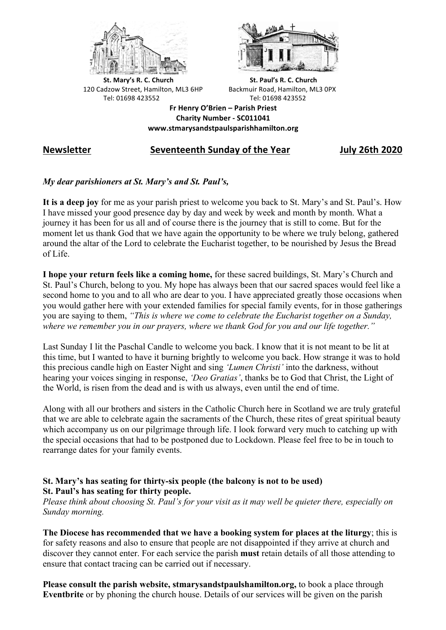



**St.** Mary's R. C. Church St. Paul's R. C. Church 120 Cadzow Street, Hamilton, ML3 6HP Backmuir Road, Hamilton, ML3 0PX Tel: 01698 423552 Tel: 01698 423552

**Fr Henry O'Brien – Parish Priest Charity Number - SC011041 www.stmarysandstpaulsparishhamilton.org**

# **Newsletter Seventeenth Sunday of the Year July 26th 2020**

### *My dear parishioners at St. Mary's and St. Paul's,*

**It is a deep joy** for me as your parish priest to welcome you back to St. Mary's and St. Paul's. How I have missed your good presence day by day and week by week and month by month. What a journey it has been for us all and of course there is the journey that is still to come. But for the moment let us thank God that we have again the opportunity to be where we truly belong, gathered around the altar of the Lord to celebrate the Eucharist together, to be nourished by Jesus the Bread of Life.

**I hope your return feels like a coming home,** for these sacred buildings, St. Mary's Church and St. Paul's Church, belong to you. My hope has always been that our sacred spaces would feel like a second home to you and to all who are dear to you. I have appreciated greatly those occasions when you would gather here with your extended families for special family events, for in those gatherings you are saying to them, *"This is where we come to celebrate the Eucharist together on a Sunday, where we remember you in our prayers, where we thank God for you and our life together."*

Last Sunday I lit the Paschal Candle to welcome you back. I know that it is not meant to be lit at this time, but I wanted to have it burning brightly to welcome you back. How strange it was to hold this precious candle high on Easter Night and sing *'Lumen Christi'* into the darkness, without hearing your voices singing in response, *'Deo Gratias'*, thanks be to God that Christ, the Light of the World, is risen from the dead and is with us always, even until the end of time.

Along with all our brothers and sisters in the Catholic Church here in Scotland we are truly grateful that we are able to celebrate again the sacraments of the Church, these rites of great spiritual beauty which accompany us on our pilgrimage through life. I look forward very much to catching up with the special occasions that had to be postponed due to Lockdown. Please feel free to be in touch to rearrange dates for your family events.

## **St. Mary's has seating for thirty-six people (the balcony is not to be used) St. Paul's has seating for thirty people.**

*Please think about choosing St. Paul's for your visit as it may well be quieter there, especially on Sunday morning.*

**The Diocese has recommended that we have a booking system for places at the liturgy**; this is for safety reasons and also to ensure that people are not disappointed if they arrive at church and discover they cannot enter. For each service the parish **must** retain details of all those attending to ensure that contact tracing can be carried out if necessary.

**Please consult the parish website, stmarysandstpaulshamilton.org,** to book a place through **Eventbrite** or by phoning the church house. Details of our services will be given on the parish